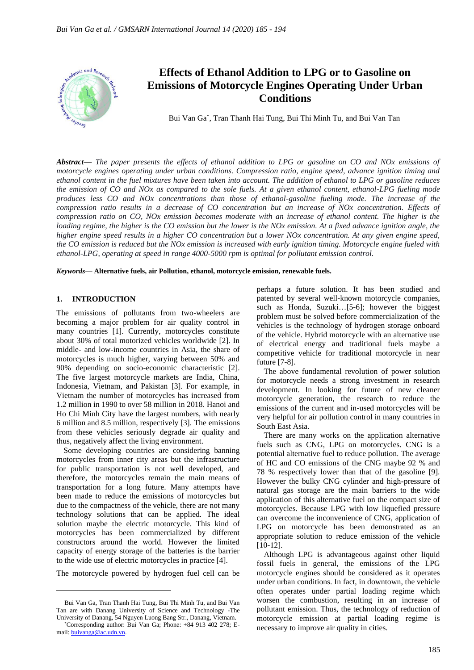

# **Effects of Ethanol Addition to LPG or to Gasoline on Emissions of Motorcycle Engines Operating Under Urban Conditions**

Bui Van Ga\* , Tran Thanh Hai Tung, Bui Thi Minh Tu, and Bui Van Tan

*Abstract***—** *The paper presents the effects of ethanol addition to LPG or gasoline on CO and NOx emissions of motorcycle engines operating under urban conditions. Compression ratio, engine speed, advance ignition timing and ethanol content in the fuel mixtures have been taken into account. The addition of ethanol to LPG or gasoline reduces the emission of CO and NOx as compared to the sole fuels. At a given ethanol content, ethanol-LPG fueling mode produces less CO and NOx concentrations than those of ethanol-gasoline fueling mode. The increase of the compression ratio results in a decrease of CO concentration but an increase of NOx concentration. Effects of compression ratio on CO, NOx emission becomes moderate with an increase of ethanol content. The higher is the loading regime, the higher is the CO emission but the lower is the NOx emission. At a fixed advance ignition angle, the higher engine speed results in a higher CO concentration but a lower NOx concentration. At any given engine speed, the CO emission is reduced but the NOx emission is increased with early ignition timing. Motorcycle engine fueled with ethanol-LPG, operating at speed in range 4000-5000 rpm is optimal for pollutant emission control.*

*Keywords***— Alternative fuels, air Pollution, ethanol, motorcycle emission, renewable fuels.**

#### **1. INTRODUCTION**

The emissions of pollutants from two-wheelers are becoming a major problem for air quality control in many countries [1]. Currently, motorcycles constitute about 30% of total motorized vehicles worldwide [2]. In middle- and low-income countries in Asia, the share of motorcycles is much higher, varying between 50% and 90% depending on socio-economic characteristic [2]. The five largest motorcycle markets are India, China, Indonesia, Vietnam, and Pakistan [3]. For example, in Vietnam the number of motorcycles has increased from 1.2 million in 1990 to over 58 million in 2018. Hanoi and Ho Chi Minh City have the largest numbers, with nearly 6 million and 8.5 million, respectively [3]. The emissions from these vehicles seriously degrade air quality and thus, negatively affect the living environment.

Some developing countries are considering banning motorcycles from inner city areas but the infrastructure for public transportation is not well developed, and therefore, the motorcycles remain the main means of transportation for a long future. Many attempts have been made to reduce the emissions of motorcycles but due to the compactness of the vehicle, there are not many technology solutions that can be applied. The ideal solution maybe the electric motorcycle. This kind of motorcycles has been commercialized by different constructors around the world. However the limited capacity of energy storage of the batteries is the barrier to the wide use of electric motorcycles in practice [4].

The motorcycle powered by hydrogen fuel cell can be

perhaps a future solution. It has been studied and patented by several well-known motorcycle companies, such as Honda, Suzuki…[5-6]; however the biggest problem must be solved before commercialization of the vehicles is the technology of hydrogen storage onboard of the vehicle. Hybrid motorcycle with an alternative use of electrical energy and traditional fuels maybe a competitive vehicle for traditional motorcycle in near future [7-8].

The above fundamental revolution of power solution for motorcycle needs a strong investment in research development. In looking for future of new cleaner motorcycle generation, the research to reduce the emissions of the current and in-used motorcycles will be very helpful for air pollution control in many countries in South East Asia.

There are many works on the application alternative fuels such as CNG, LPG on motorcycles. CNG is a potential alternative fuel to reduce pollution. The average of HC and CO emissions of the CNG maybe 92 % and 78 % respectively lower than that of the gasoline [9]. However the bulky CNG cylinder and high-pressure of natural gas storage are the main barriers to the wide application of this alternative fuel on the compact size of motorcycles. Because LPG with low liquefied pressure can overcome the inconvenience of CNG, application of LPG on motorcycle has been demonstrated as an appropriate solution to reduce emission of the vehicle [10-12].

Although LPG is advantageous against other liquid fossil fuels in general, the emissions of the LPG motorcycle engines should be considered as it operates under urban conditions. In fact, in downtown, the vehicle often operates under partial loading regime which worsen the combustion, resulting in an increase of pollutant emission. Thus, the technology of reduction of motorcycle emission at partial loading regime is necessary to improve air quality in cities.

Bui Van Ga, Tran Thanh Hai Tung, Bui Thi Minh Tu, and Bui Van Tan are with Danang University of Science and Technology -The University of Danang, 54 Nguyen Luong Bang Str., Danang, Vietnam.

<sup>\*</sup>Corresponding author: Bui Van Ga; Phone: +84 913 402 278; Email[: buivanga@ac.udn.vn.](mailto:buivanga@ac.udn.vn)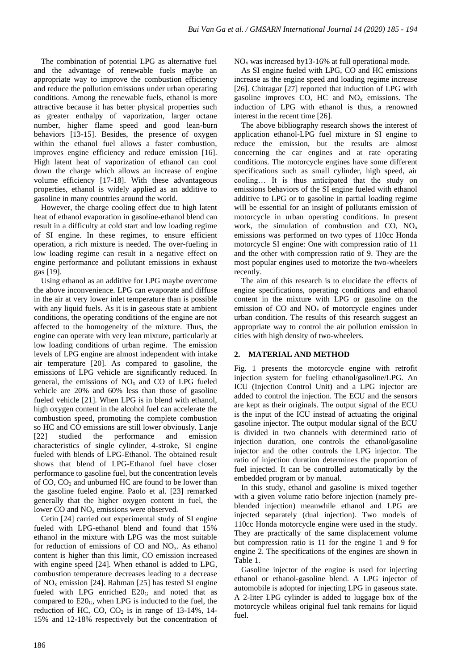The combination of potential LPG as alternative fuel and the advantage of renewable fuels maybe an appropriate way to improve the combustion efficiency and reduce the pollution emissions under urban operating conditions. Among the renewable fuels, ethanol is more attractive because it has better physical properties such as greater enthalpy of vaporization, larger octane number, higher flame speed and good lean-burn behaviors [13-15]. Besides, the presence of oxygen within the ethanol fuel allows a faster combustion, improves engine efficiency and reduce emission [16]. High latent heat of vaporization of ethanol can cool down the charge which allows an increase of engine volume efficiency [17-18]. With these advantageous properties, ethanol is widely applied as an additive to gasoline in many countries around the world.

However, the charge cooling effect due to high latent heat of ethanol evaporation in gasoline-ethanol blend can result in a difficulty at cold start and low loading regime of SI engine. In these regimes, to ensure efficient operation, a rich mixture is needed. The over-fueling in low loading regime can result in a negative effect on engine performance and pollutant emissions in exhaust gas [19].

Using ethanol as an additive for LPG maybe overcome the above inconvenience. LPG can evaporate and diffuse in the air at very lower inlet temperature than is possible with any liquid fuels. As it is in gaseous state at ambient conditions, the operating conditions of the engine are not affected to the homogeneity of the mixture. Thus, the engine can operate with very lean mixture, particularly at low loading conditions of urban regime. The emission levels of LPG engine are almost independent with intake air temperature [20]. As compared to gasoline, the emissions of LPG vehicle are significantly reduced. In general, the emissions of  $NO<sub>x</sub>$  and CO of LPG fueled vehicle are 20% and 60% less than those of gasoline fueled vehicle [21]. When LPG is in blend with ethanol, high oxygen content in the alcohol fuel can accelerate the combustion speed, promoting the complete combustion so HC and CO emissions are still lower obviously. Lanje [22] studied the performance and emission characteristics of single cylinder, 4-stroke, SI engine fueled with blends of LPG-Ethanol. The obtained result shows that blend of LPG-Ethanol fuel have closer performance to gasoline fuel, but the concentration levels of  $CO$ ,  $CO<sub>2</sub>$  and unburned HC are found to be lower than the gasoline fueled engine. Paolo et al. [23] remarked generally that the higher oxygen content in fuel, the lower CO and NO<sub>x</sub> emissions were observed.

Cetin [24] carried out experimental study of SI engine fueled with LPG-ethanol blend and found that 15% ethanol in the mixture with LPG was the most suitable for reduction of emissions of CO and  $NO<sub>x</sub>$ . As ethanol content is higher than this limit, CO emission increased with engine speed [24]. When ethanol is added to LPG, combustion temperature decreases leading to a decrease of  $NO<sub>x</sub>$  emission [24]. Rahman [25] has tested SI engine fueled with LPG enriched  $E20<sub>G</sub>$  and noted that as compared to  $E20<sub>G</sub>$ , when LPG is inducted to the fuel, the reduction of HC,  $CO$ ,  $CO<sub>2</sub>$  is in range of 13-14%, 14-15% and 12-18% respectively but the concentration of  $NO<sub>x</sub>$  was increased by 13-16% at full operational mode.

As SI engine fueled with LPG, CO and HC emissions increase as the engine speed and loading regime increase [26]. Chitragar [27] reported that induction of LPG with gasoline improves CO, HC and  $NO<sub>x</sub>$  emissions. The induction of LPG with ethanol is thus, a renowned interest in the recent time [26].

The above bibliography research shows the interest of application ethanol-LPG fuel mixture in SI engine to reduce the emission, but the results are almost concerning the car engines and at rate operating conditions. The motorcycle engines have some different specifications such as small cylinder, high speed, air cooling… It is thus anticipated that the study on emissions behaviors of the SI engine fueled with ethanol additive to LPG or to gasoline in partial loading regime will be essential for an insight of pollutants emission of motorcycle in urban operating conditions. In present work, the simulation of combustion and  $CO$ ,  $NO<sub>x</sub>$ emissions was performed on two types of 110cc Honda motorcycle SI engine: One with compression ratio of 11 and the other with compression ratio of 9. They are the most popular engines used to motorize the two-wheelers recently.

The aim of this research is to elucidate the effects of engine specifications, operating conditions and ethanol content in the mixture with LPG or gasoline on the emission of  $CO$  and  $NO<sub>x</sub>$  of motorcycle engines under urban condition. The results of this research suggest an appropriate way to control the air pollution emission in cities with high density of two-wheelers.

# **2. MATERIAL AND METHOD**

Fig. 1 presents the motorcycle engine with retrofit injection system for fueling ethanol/gasoline/LPG. An ICU (Injection Control Unit) and a LPG injector are added to control the injection. The ECU and the sensors are kept as their originals. The output signal of the ECU is the input of the ICU instead of actuating the original gasoline injector. The output modular signal of the ECU is divided in two channels with determined ratio of injection duration, one controls the ethanol/gasoline injector and the other controls the LPG injector. The ratio of injection duration determines the proportion of fuel injected. It can be controlled automatically by the embedded program or by manual.

In this study, ethanol and gasoline is mixed together with a given volume ratio before injection (namely preblended injection) meanwhile ethanol and LPG are injected separately (dual injection). Two models of 110cc Honda motorcycle engine were used in the study. They are practically of the same displacement volume but compression ratio is 11 for the engine 1 and 9 for engine 2. The specifications of the engines are shown in Table 1.

Gasoline injector of the engine is used for injecting ethanol or ethanol-gasoline blend. A LPG injector of automobile is adopted for injecting LPG in gaseous state. A 2-liter LPG cylinder is added to luggage box of the motorcycle whileas original fuel tank remains for liquid fuel.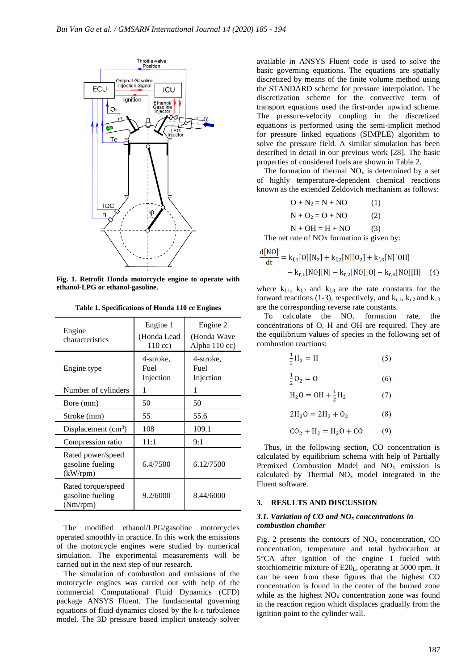

**Fig. 1. Retrofit Honda motorcycle engine to operate with ethanol-LPG or ethanol-gasoline.**

| Engine<br>characteristics                               | Engine 1<br>(Honda Lead<br>$110 \text{ cc}$ | Engine 2<br>(Honda Wave<br>Alpha $110$ cc) |  |
|---------------------------------------------------------|---------------------------------------------|--------------------------------------------|--|
| Engine type                                             | 4-stroke,<br>Fuel<br>Injection              | 4-stroke,<br>Fuel<br>Injection             |  |
| Number of cylinders                                     | 1                                           | 1                                          |  |
| Bore (mm)                                               | 50                                          | 50                                         |  |
| Stroke (mm)                                             | 55                                          | 55.6                                       |  |
| Displacement $(cm3)$                                    | 108                                         | 109.1                                      |  |
| Compression ratio                                       | 11:1                                        | 9:1                                        |  |
| Rated power/speed<br>gasoline fueling<br>$(kW$ /rpm $)$ | 6.4/7500                                    | 6.12/7500                                  |  |
| Rated torque/speed<br>gasoline fueling<br>(Nm/rpm)      | 9.2/6000                                    | 8.44/6000                                  |  |

**Table 1. Specifications of Honda 110 cc Engines**

The modified ethanol/LPG/gasoline motorcycles operated smoothly in practice. In this work the emissions of the motorcycle engines were studied by numerical simulation. The experimental measurements will be carried out in the next step of our research.

The simulation of combustion and emissions of the motorcycle engines was carried out with help of the commercial Computational Fluid Dynamics (CFD) package ANSYS Fluent. The fundamental governing equations of fluid dynamics closed by the k-ε turbulence model. The 3D pressure based implicit unsteady solver

available in ANSYS Fluent code is used to solve the basic governing equations. The equations are spatially discretized by means of the finite volume method using the STANDARD scheme for pressure interpolation. The discretization scheme for the convective term of transport equations used the first-order upwind scheme. The pressure-velocity coupling in the discretized equations is performed using the semi-implicit method for pressure linked equations (SIMPLE) algorithm to solve the pressure field. A similar simulation has been described in detail in our previous work [28]. The basic properties of considered fuels are shown in Table 2.

The formation of thermal  $NO<sub>x</sub>$  is determined by a set of highly temperature-dependent chemical reactions known as the extended Zeldovich mechanism as follows:

| $O + N_2 = N + NO$ | (1) |
|--------------------|-----|
| $N + O_2 = O + NO$ | (2) |

 $N + OH = H + NO$  (3)

The net rate of NOx formation is given by:

$$
\frac{d[NO]}{dt} = k_{f,1}[O][N_2] + k_{f,2}[N][O_2] + k_{f,3}[N][OH]
$$

$$
- k_{r,1}[NO][N] - k_{r,2}[NO][O] - k_{r,3}[NO][H] \quad (4)
$$

where  $k_{f,1}$ ,  $k_{f,2}$  and  $k_{f,3}$  are the rate constants for the forward reactions (1-3), respectively, and  $k_{r,1}$ ,  $k_{r,2}$  and  $k_{r,3}$ are the corresponding reverse rate constants.

To calculate the  $NO<sub>x</sub>$  formation rate, the concentrations of O, H and OH are required. They are the equilibrium values of species in the following set of combustion reactions:

| $\frac{1}{2}H_2 = H$             | (5) |
|----------------------------------|-----|
| $\frac{1}{2}$ O <sub>2</sub> = 0 | (6) |
| $H_2O = OH + \frac{1}{2}H_2$     | (7) |
| $2H_2O = 2H_2 + O_2$             | (8) |
| $CO_2 + H_2 = H_2O + CO$         | (9) |

Thus, in the following section, CO concentration is calculated by equilibrium schema with help of Partially Premixed Combustion Model and NO<sub>x</sub> emission is calculated by Thermal  $NO<sub>x</sub>$  model integrated in the Fluent software.

# **3. RESULTS AND DISCUSSION**

## *3.1. Variation of CO and NO<sup>x</sup> concentrations in combustion chamber*

Fig. 2 presents the contours of  $NO<sub>x</sub>$  concentration, CO concentration, temperature and total hydrocarbon at 5CA after ignition of the engine 1 fueled with stoichiometric mixture of E20L, operating at 5000 rpm. It can be seen from these figures that the highest CO concentration is found in the center of the burned zone while as the highest  $NO<sub>x</sub>$  concentration zone was found in the reaction region which displaces gradually from the ignition point to the cylinder wall.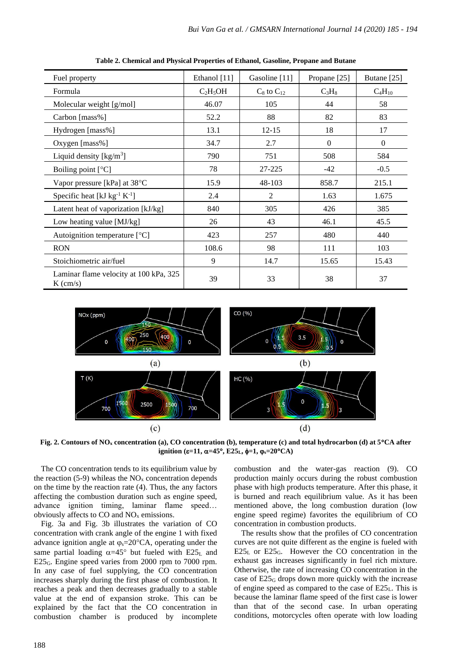| Fuel property                                                            | Ethanol [11] | Gasoline [11]     | Propane [25]   | Butane [25]    |
|--------------------------------------------------------------------------|--------------|-------------------|----------------|----------------|
| Formula                                                                  | $C_2H_5OH$   | $C_8$ to $C_{12}$ | $C_3H_8$       | $C_4H_{10}$    |
| Molecular weight [g/mol]                                                 | 46.07        | 105               | 44             | 58             |
| Carbon [mass%]                                                           | 52.2         | 88                | 82             | 83             |
| Hydrogen [mass%]                                                         | 13.1         | $12 - 15$         | 18             | 17             |
| Oxygen [mass%]                                                           | 34.7         | 2.7               | $\overline{0}$ | $\overline{0}$ |
| Liquid density $\left[\frac{kg}{m^3}\right]$                             | 790          | 751               | 508            | 584            |
| Boiling point $[°C]$                                                     | 78           | 27-225            | $-42$          | $-0.5$         |
| Vapor pressure [kPa] at 38°C                                             | 15.9         | 48-103            | 858.7          | 215.1          |
| Specific heat [ $kJ$ kg <sup>-1</sup> K <sup>-1</sup> ]                  | 2.4          | 2                 | 1.63           | 1.675          |
| Latent heat of vaporization [kJ/kg]                                      | 840          | 305               | 426            | 385            |
| Low heating value [MJ/kg]                                                | 26           | 43                | 46.1           | 45.5           |
| Autoignition temperature $[°C]$                                          | 423          | 257               | 480            | 440            |
| <b>RON</b>                                                               | 108.6        | 98                | 111            | 103            |
| Stoichiometric air/fuel                                                  | 9            | 14.7              | 15.65          | 15.43          |
| Laminar flame velocity at 100 kPa, 325<br>$K \left( \text{cm/s} \right)$ | 39           | 33                | 38             | 37             |

**Table 2. Chemical and Physical Properties of Ethanol, Gasoline, Propane and Butane**



**Fig. 2. Contours of NO<sup>x</sup> concentration (a), CO concentration (b), temperature (c) and total hydrocarbon (d) at 5CA after ignition** ( $\epsilon = 11$ ,  $\alpha = 45^\circ$ ,  $\epsilon = 25$ <sub>L</sub>,  $\phi = 1$ ,  $\phi_s = 20^\circ \text{CA}$ )

The CO concentration tends to its equilibrium value by the reaction (5-9) whileas the  $NO<sub>x</sub>$  concentration depends on the time by the reaction rate (4). Thus, the any factors affecting the combustion duration such as engine speed, advance ignition timing, laminar flame speed… obviously affects to  $CO$  and  $NO<sub>x</sub>$  emissions.

Fig. 3a and Fig. 3b illustrates the variation of CO concentration with crank angle of the engine 1 with fixed advance ignition angle at  $\varphi_s = 20^\circ \text{CA}$ , operating under the same partial loading  $\alpha=45^\circ$  but fueled with E25<sub>L</sub> and E25G. Engine speed varies from 2000 rpm to 7000 rpm. In any case of fuel supplying, the CO concentration increases sharply during the first phase of combustion. It reaches a peak and then decreases gradually to a stable value at the end of expansion stroke. This can be explained by the fact that the CO concentration in combustion chamber is produced by incomplete combustion and the water-gas reaction (9). CO production mainly occurs during the robust combustion phase with high products temperature. After this phase, it is burned and reach equilibrium value. As it has been mentioned above, the long combustion duration (low engine speed regime) favorites the equilibrium of CO concentration in combustion products.

The results show that the profiles of CO concentration curves are not quite different as the engine is fueled with  $E25<sub>L</sub>$  or  $E25<sub>G</sub>$ . However the CO concentration in the exhaust gas increases significantly in fuel rich mixture. Otherwise, the rate of increasing CO concentration in the case of E25<sup>G</sup> drops down more quickly with the increase of engine speed as compared to the case of E25L. This is because the laminar flame speed of the first case is lower than that of the second case. In urban operating conditions, motorcycles often operate with low loading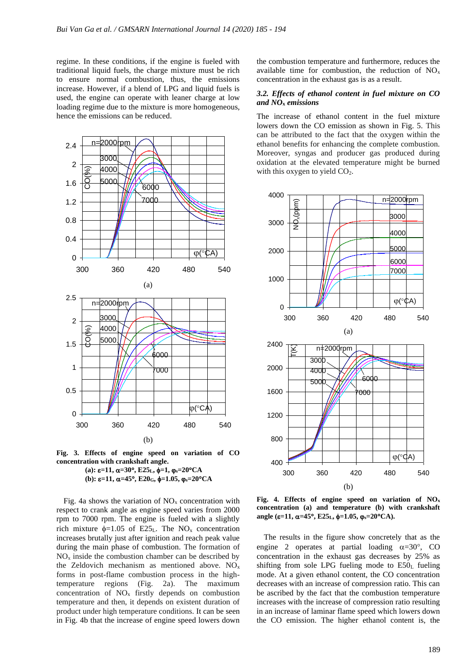regime. In these conditions, if the engine is fueled with traditional liquid fuels, the charge mixture must be rich to ensure normal combustion, thus, the emissions increase. However, if a blend of LPG and liquid fuels is used, the engine can operate with leaner charge at low loading regime due to the mixture is more homogeneous, hence the emissions can be reduced.



**Fig. 3. Effects of engine speed on variation of CO concentration with crankshaft angle.**  $(a)$ **:**  $\varepsilon=11$ ,  $\alpha=30^{\circ}$ ,  $E25$ <sub>L</sub>,  $\phi=1$ ,  $\phi_s=20^{\circ}CA$ **(b):**  $\epsilon$ =11,  $\alpha$ =45°,  $E20$ <sub>G</sub>,  $\phi$ =1.05,  $\phi$ <sub>s</sub>=20°CA

Fig. 4a shows the variation of  $NO<sub>x</sub>$  concentration with respect to crank angle as engine speed varies from 2000 rpm to 7000 rpm. The engine is fueled with a slightly rich mixture  $\phi$ =1.05 of E25<sub>L</sub>. The NO<sub>x</sub> concentration increases brutally just after ignition and reach peak value during the main phase of combustion. The formation of  $NO<sub>x</sub>$  inside the combustion chamber can be described by the Zeldovich mechanism as mentioned above.  $NO<sub>x</sub>$ forms in post-flame combustion process in the hightemperature regions (Fig. 2a). The maximum concentration of  $NO<sub>x</sub>$  firstly depends on combustion temperature and then, it depends on existent duration of product under high temperature conditions. It can be seen in Fig. 4b that the increase of engine speed lowers down

the combustion temperature and furthermore, reduces the available time for combustion, the reduction of  $NO<sub>x</sub>$ concentration in the exhaust gas is as a result.

# *3.2. Effects of ethanol content in fuel mixture on CO and NO***<sup>x</sup>** *emissions*

The increase of ethanol content in the fuel mixture lowers down the CO emission as shown in Fig. 5. This can be attributed to the fact that the oxygen within the ethanol benefits for enhancing the complete combustion. Moreover, syngas and producer gas produced during oxidation at the elevated temperature might be burned with this oxygen to yield  $CO<sub>2</sub>$ .



**Fig. 4. Effects of engine speed on variation of NO<sup>x</sup> concentration (a) and temperature (b) with crankshaft angle (=11, =45, E25L, =1.05, s=20CA).**

The results in the figure show concretely that as the engine 2 operates at partial loading  $\alpha = 30^{\circ}$ , CO concentration in the exhaust gas decreases by 25% as shifting from sole LPG fueling mode to  $E50<sub>L</sub>$  fueling mode. At a given ethanol content, the CO concentration decreases with an increase of compression ratio. This can be ascribed by the fact that the combustion temperature increases with the increase of compression ratio resulting in an increase of laminar flame speed which lowers down the CO emission. The higher ethanol content is, the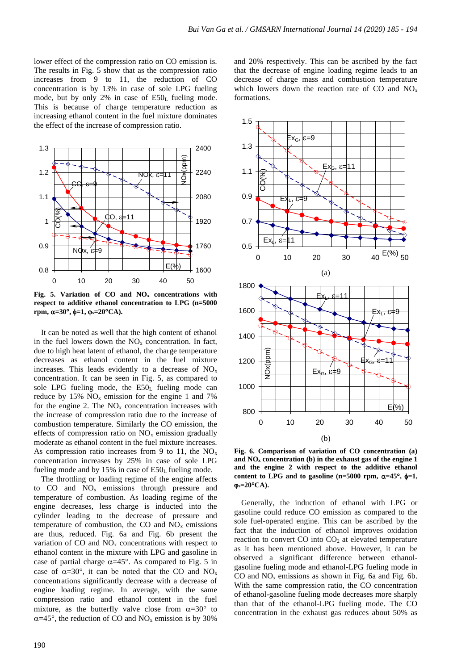lower effect of the compression ratio on CO emission is. The results in Fig. 5 show that as the compression ratio increases from 9 to 11, the reduction of CO concentration is by 13% in case of sole LPG fueling mode, but by only 2% in case of  $E50<sub>L</sub>$  fueling mode. This is because of charge temperature reduction as increasing ethanol content in the fuel mixture dominates the effect of the increase of compression ratio.



**Fig. 5. Variation of CO and NO<sup>x</sup> concentrations with respect to additive ethanol concentration to LPG (n=5000 rpm,**  $\alpha = 30^\circ$ **,**  $\phi = 1$ **,**  $\phi_s = 20^\circ \text{CA}$ **.** 

It can be noted as well that the high content of ethanol in the fuel lowers down the  $NO<sub>x</sub>$  concentration. In fact, due to high heat latent of ethanol, the charge temperature decreases as ethanol content in the fuel mixture increases. This leads evidently to a decrease of  $NO<sub>x</sub>$ concentration. It can be seen in Fig. 5, as compared to sole LPG fueling mode, the  $E50<sub>L</sub>$  fueling mode can reduce by  $15\%$  NO<sub>x</sub> emission for the engine 1 and 7% for the engine 2. The  $NO<sub>x</sub>$  concentration increases with the increase of compression ratio due to the increase of combustion temperature. Similarly the CO emission, the effects of compression ratio on  $NO<sub>x</sub>$  emission gradually moderate as ethanol content in the fuel mixture increases. As compression ratio increases from 9 to 11, the  $NO<sub>x</sub>$ concentration increases by 25% in case of sole LPG fueling mode and by 15% in case of  $E50<sub>L</sub>$  fueling mode.

The throttling or loading regime of the engine affects to  $CO$  and  $NO<sub>x</sub>$  emissions through pressure and temperature of combustion. As loading regime of the engine decreases, less charge is inducted into the cylinder leading to the decrease of pressure and temperature of combustion, the CO and  $NO<sub>x</sub>$  emissions are thus, reduced. Fig. 6a and Fig. 6b present the variation of  $CO$  and  $NO<sub>x</sub>$  concentrations with respect to ethanol content in the mixture with LPG and gasoline in case of partial charge  $\alpha$ =45°. As compared to Fig. 5 in case of  $\alpha = 30^\circ$ , it can be noted that the CO and NO<sub>x</sub> concentrations significantly decrease with a decrease of engine loading regime. In average, with the same compression ratio and ethanol content in the fuel mixture, as the butterfly valve close from  $\alpha = 30^{\circ}$  to  $\alpha$ =45°, the reduction of CO and NO<sub>x</sub> emission is by 30% and 20% respectively. This can be ascribed by the fact that the decrease of engine loading regime leads to an decrease of charge mass and combustion temperature which lowers down the reaction rate of CO and  $NO<sub>x</sub>$ formations.



**Fig. 6. Comparison of variation of CO concentration (a) and NO<sup>x</sup> concentration (b) in the exhaust gas of the engine 1 and the engine 2 with respect to the additive ethanol**  content to LPG and to gasoline (n=5000 rpm,  $\alpha$ =45°,  $\phi$ =1, **s=20CA).**

Generally, the induction of ethanol with LPG or gasoline could reduce CO emission as compared to the sole fuel-operated engine. This can be ascribed by the fact that the induction of ethanol improves oxidation reaction to convert  $CO$  into  $CO<sub>2</sub>$  at elevated temperature as it has been mentioned above. However, it can be observed a significant difference between ethanolgasoline fueling mode and ethanol-LPG fueling mode in CO and  $NO<sub>x</sub>$  emissions as shown in Fig. 6a and Fig. 6b. With the same compression ratio, the CO concentration of ethanol-gasoline fueling mode decreases more sharply than that of the ethanol-LPG fueling mode. The CO concentration in the exhaust gas reduces about 50% as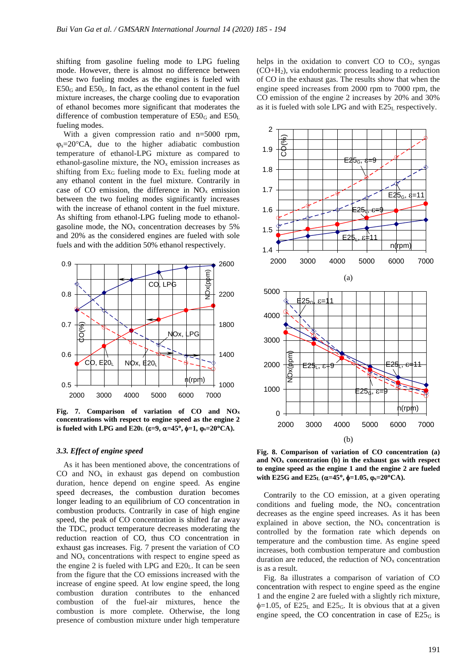shifting from gasoline fueling mode to LPG fueling mode. However, there is almost no difference between these two fueling modes as the engines is fueled with  $E50<sub>G</sub>$  and  $E50<sub>L</sub>$ . In fact, as the ethanol content in the fuel mixture increases, the charge cooling due to evaporation of ethanol becomes more significant that moderates the difference of combustion temperature of  $E50<sub>G</sub>$  and  $E50<sub>L</sub>$ fueling modes.

With a given compression ratio and n=5000 rpm,  $\Phi_s = 20^{\circ}$ CA, due to the higher adiabatic combustion temperature of ethanol-LPG mixture as compared to ethanol-gasoline mixture, the  $NO<sub>x</sub>$  emission increases as shifting from  $Ex_G$  fueling mode to  $Ex_L$  fueling mode at any ethanol content in the fuel mixture. Contrarily in case of CO emission, the difference in  $NO<sub>x</sub>$  emission between the two fueling modes significantly increases with the increase of ethanol content in the fuel mixture. As shifting from ethanol-LPG fueling mode to ethanolgasoline mode, the  $NO<sub>x</sub>$  concentration decreases by 5% and 20% as the considered engines are fueled with sole fuels and with the addition 50% ethanol respectively.



**Fig. 7. Comparison of variation of CO and NO<sup>x</sup> concentrations with respect to engine speed as the engine 2 is fueled with LPG and E20L** ( $\varepsilon = 9$ ,  $\alpha = 45^{\circ}$ ,  $\phi = 1$ ,  $\phi_s = 20^{\circ}CA$ ).

# *3.3. Effect of engine speed*

As it has been mentioned above, the concentrations of CO and  $NO<sub>x</sub>$  in exhaust gas depend on combustion duration, hence depend on engine speed. As engine speed decreases, the combustion duration becomes longer leading to an equilibrium of CO concentration in combustion products. Contrarily in case of high engine speed, the peak of CO concentration is shifted far away the TDC, product temperature decreases moderating the reduction reaction of CO, thus CO concentration in exhaust gas increases. Fig. 7 present the variation of CO and  $NO<sub>x</sub>$  concentrations with respect to engine speed as the engine 2 is fueled with LPG and E20L. It can be seen from the figure that the CO emissions increased with the increase of engine speed. At low engine speed, the long combustion duration contributes to the enhanced combustion of the fuel-air mixtures, hence the combustion is more complete. Otherwise, the long presence of combustion mixture under high temperature

helps in the oxidation to convert  $CO$  to  $CO<sub>2</sub>$ , syngas (CO+H2), via endothermic process leading to a reduction of CO in the exhaust gas. The results show that when the engine speed increases from 2000 rpm to 7000 rpm, the CO emission of the engine 2 increases by 20% and 30% as it is fueled with sole LPG and with  $E25<sub>L</sub>$  respectively.



**Fig. 8. Comparison of variation of CO concentration (a) and NO<sup>x</sup> concentration (b) in the exhaust gas with respect to engine speed as the engine 1 and the engine 2 are fueled with E25G and E25<sub>L</sub>**  $(\alpha = 45^{\circ}, \phi = 1.05, \phi_s = 20^{\circ} \text{CA})$ **.** 

Contrarily to the CO emission, at a given operating conditions and fueling mode, the  $NO<sub>x</sub>$  concentration decreases as the engine speed increases. As it has been explained in above section, the  $NO<sub>x</sub>$  concentration is controlled by the formation rate which depends on temperature and the combustion time. As engine speed increases, both combustion temperature and combustion duration are reduced, the reduction of  $NO<sub>x</sub>$  concentration is as a result.

Fig. 8a illustrates a comparison of variation of CO concentration with respect to engine speed as the engine 1 and the engine 2 are fueled with a slightly rich mixture,  $\phi$ =1.05, of E25<sub>L</sub> and E25<sub>G</sub>. It is obvious that at a given engine speed, the CO concentration in case of  $E25<sub>G</sub>$  is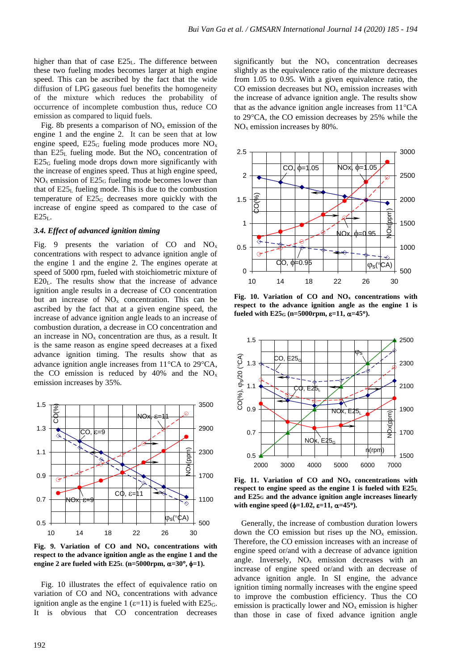higher than that of case E25<sub>L</sub>. The difference between these two fueling modes becomes larger at high engine speed. This can be ascribed by the fact that the wide diffusion of LPG gaseous fuel benefits the homogeneity of the mixture which reduces the probability of occurrence of incomplete combustion thus, reduce CO emission as compared to liquid fuels.

Fig. 8b presents a comparison of  $NO<sub>x</sub>$  emission of the engine 1 and the engine 2. It can be seen that at low engine speed,  $E25<sub>G</sub>$  fueling mode produces more  $NO<sub>x</sub>$ than  $E25<sub>L</sub>$  fueling mode. But the NO<sub>x</sub> concentration of  $E25<sub>G</sub>$  fueling mode drops down more significantly with the increase of engines speed. Thus at high engine speed,  $NO<sub>x</sub>$  emission of E25<sub>G</sub> fueling mode becomes lower than that of  $E25<sub>L</sub>$  fueling mode. This is due to the combustion temperature of  $E25<sub>G</sub>$  decreases more quickly with the increase of engine speed as compared to the case of  $E25L$ .

#### *3.4. Effect of advanced ignition timing*

Fig. 9 presents the variation of CO and  $NO<sub>x</sub>$ concentrations with respect to advance ignition angle of the engine 1 and the engine 2. The engines operate at speed of 5000 rpm, fueled with stoichiometric mixture of  $E20<sub>L</sub>$ . The results show that the increase of advance ignition angle results in a decrease of CO concentration but an increase of  $NO<sub>x</sub>$  concentration. This can be ascribed by the fact that at a given engine speed, the increase of advance ignition angle leads to an increase of combustion duration, a decrease in CO concentration and an increase in  $NO<sub>x</sub>$  concentration are thus, as a result. It is the same reason as engine speed decreases at a fixed advance ignition timing. The results show that as advance ignition angle increases from  $11^{\circ}$ CA to  $29^{\circ}$ CA, the CO emission is reduced by 40% and the  $NO<sub>x</sub>$ emission increases by 35%.



**Fig. 9. Variation of CO and NO<sup>x</sup> concentrations with respect to the advance ignition angle as the engine 1 and the engine 2 are fueled with E25L** (n=5000rpm,  $\alpha$ =30°,  $\phi$ =1).

Fig. 10 illustrates the effect of equivalence ratio on variation of  $CO$  and  $NO<sub>x</sub>$  concentrations with advance ignition angle as the engine 1 ( $\varepsilon$ =11) is fueled with E25<sub>G</sub>. It is obvious that CO concentration decreases significantly but the  $NO<sub>x</sub>$  concentration decreases slightly as the equivalence ratio of the mixture decreases from 1.05 to 0.95. With a given equivalence ratio, the CO emission decreases but  $NO<sub>x</sub>$  emission increases with the increase of advance ignition angle. The results show that as the advance ignition angle increases from  $11^{\circ}CA$ to 29°CA, the CO emission decreases by 25% while the NO<sup>x</sup> emission increases by 80%.



**Fig. 10. Variation of CO and NO<sup>x</sup> concentrations with respect to the advance ignition angle as the engine 1 is fueled with E25** $_G$  (n=5000rpm,  $g=11$ ,  $\alpha=45^\circ$ ).



**Fig. 11. Variation of CO and NO<sup>x</sup> concentrations with respect to engine speed as the engine 1 is fueled with E25<sup>L</sup> and E25<sup>G</sup> and the advance ignition angle increases linearly**  with engine speed  $(\phi=1.02, \epsilon=11, \alpha=45^{\circ}).$ 

Generally, the increase of combustion duration lowers down the CO emission but rises up the  $NO<sub>x</sub>$  emission. Therefore, the CO emission increases with an increase of engine speed or/and with a decrease of advance ignition angle. Inversely,  $NO<sub>x</sub>$  emission decreases with an increase of engine speed or/and with an decrease of advance ignition angle. In SI engine, the advance ignition timing normally increases with the engine speed to improve the combustion efficiency. Thus the CO emission is practically lower and  $NO<sub>x</sub>$  emission is higher than those in case of fixed advance ignition angle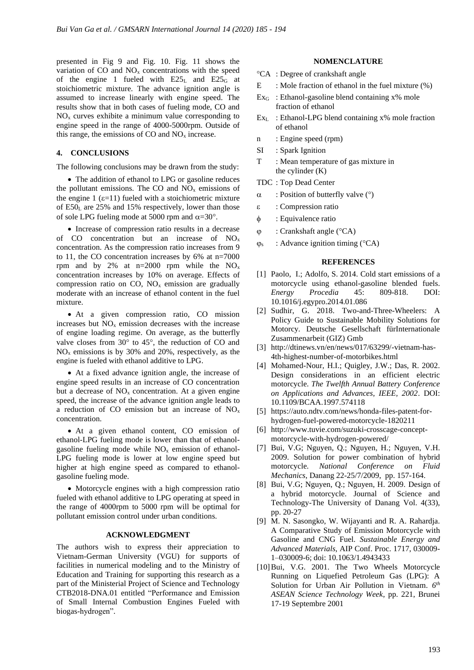presented in Fig 9 and Fig. 10. Fig. 11 shows the variation of  $CO$  and  $NO<sub>x</sub>$  concentrations with the speed of the engine 1 fueled with  $E25_L$  and  $E25_G$  at stoichiometric mixture. The advance ignition angle is assumed to increase linearly with engine speed. The results show that in both cases of fueling mode, CO and  $NO<sub>x</sub>$  curves exhibite a minimum value corresponding to engine speed in the range of 4000-5000rpm. Outside of this range, the emissions of  $CO$  and  $NO<sub>x</sub>$  increase.

# **4. CONCLUSIONS**

The following conclusions may be drawn from the study:

• The addition of ethanol to LPG or gasoline reduces the pollutant emissions. The CO and  $NO<sub>x</sub>$  emissions of the engine 1  $(\epsilon=11)$  fueled with a stoichiometric mixture of  $E50<sub>L</sub>$  are 25% and 15% respectively, lower than those of sole LPG fueling mode at 5000 rpm and  $\alpha = 30^{\circ}$ .

• Increase of compression ratio results in a decrease of CO concentration but an increase of  $NO<sub>x</sub>$ concentration. As the compression ratio increases from 9 to 11, the CO concentration increases by 6% at n=7000 rpm and by 2% at  $n=2000$  rpm while the NO<sub>x</sub> concentration increases by 10% on average. Effects of compression ratio on  $CO$ .  $NO<sub>x</sub>$  emission are gradually moderate with an increase of ethanol content in the fuel mixture.

• At a given compression ratio, CO mission increases but  $NO<sub>x</sub>$  emission decreases with the increase of engine loading regime. On average, as the butterfly valve closes from  $30^{\circ}$  to  $45^{\circ}$ , the reduction of CO and  $NO<sub>x</sub>$  emissions is by 30% and 20%, respectively, as the engine is fueled with ethanol additive to LPG.

• At a fixed advance ignition angle, the increase of engine speed results in an increase of CO concentration but a decrease of  $NO<sub>x</sub>$  concentration. At a given engine speed, the increase of the advance ignition angle leads to a reduction of CO emission but an increase of NO<sup>x</sup> concentration.

• At a given ethanol content, CO emission of ethanol-LPG fueling mode is lower than that of ethanolgasoline fueling mode while  $NO<sub>x</sub>$  emission of ethanol-LPG fueling mode is lower at low engine speed but higher at high engine speed as compared to ethanolgasoline fueling mode.

• Motorcycle engines with a high compression ratio fueled with ethanol additive to LPG operating at speed in the range of 4000rpm to 5000 rpm will be optimal for pollutant emission control under urban conditions.

## **ACKNOWLEDGMENT**

The authors wish to express their appreciation to Vietnam-German University (VGU) for supports of facilities in numerical modeling and to the Ministry of Education and Training for supporting this research as a part of the Ministerial Project of Science and Technology CTB2018-DNA.01 entitled "Performance and Emission of Small Internal Combustion Engines Fueled with biogas-hydrogen".

#### **NOMENCLATURE**

- CA : Degree of crankshaft angle
- E : Mole fraction of ethanol in the fuel mixture  $(\%)$
- $Ex_G$ : Ethanol-gasoline blend containing x% mole fraction of ethanol
- $Ex_L$ : Ethanol-LPG blend containing x% mole fraction of ethanol
- n : Engine speed (rpm)
- SI : Spark Ignition
- T : Mean temperature of gas mixture in the cylinder (K)
- TDC : Top Dead Center
- $\alpha$  : Position of butterfly valve (°)
- : Compression ratio
- : Equivalence ratio
- $\varphi$  : Crankshaft angle (°CA)
- $\varphi_s$  : Advance ignition timing (°CA)

## **REFERENCES**

- [1] Paolo, I.; Adolfo, S. 2014. Cold start emissions of a motorcycle using ethanol-gasoline blended fuels. *Energy Procedia* 45: 809-818. DOI: 10.1016/j.egypro.2014.01.086
- [2] Sudhir, G. 2018. Two-and-Three-Wheelers: A Policy Guide to Sustainable Mobility Solutions for Motorcy*.* Deutsche Gesellschaft fürInternationale Zusammenarbeit (GIZ) Gmb
- [3] http://dtinews.vn/en/news/017/63299/-vietnam-has-4th-highest-number-of-motorbikes.html
- [4] Mohamed-Nour, H.I.; Quigley, J.W.; Das, R. 2002. Design considerations in an efficient electric motorcycle. *The Twelfth Annual Battery Conference on Applications and Advances, IEEE, 2002*. DOI: 10.1109/BCAA.1997.574118
- [5] https://auto.ndtv.com/news/honda-files-patent-forhydrogen-fuel-powered-motorcycle-1820211
- [6] http://www.tuvie.com/suzuki-crosscage-conceptmotorcycle-with-hydrogen-powered/
- [7] Bui, V.G; Nguyen, Q.; Nguyen, H.; Nguyen, V.H. 2009. Solution for power combination of hybrid motorcycle*. National Conference on Fluid Mechanics*, Danang 22-25/7/2009, pp. 157-164.
- [8] Bui, V.G; Nguyen, Q.; Nguyen, H. 2009. Design of a hybrid motorcycle. Journal of Science and Technology-The University of Danang Vol. 4(33), pp. 20-27
- [9] M. N. Sasongko, W. Wijayanti and R. A. Rahardja. A Comparative Study of Emission Motorcycle with Gasoline and CNG Fuel*. Sustainable Energy and Advanced Materials*, AIP Conf. Proc. 1717, 030009- 1–030009-6; doi: 10.1063/1.4943433
- [10]Bui, V.G. 2001. The Two Wheels Motorcycle Running on Liquefied Petroleum Gas (LPG): A Solution for Urban Air Pollution in Vietnam. 6<sup>th</sup> *ASEAN Science Technology Week*, pp. 221, Brunei 17-19 Septembre 2001